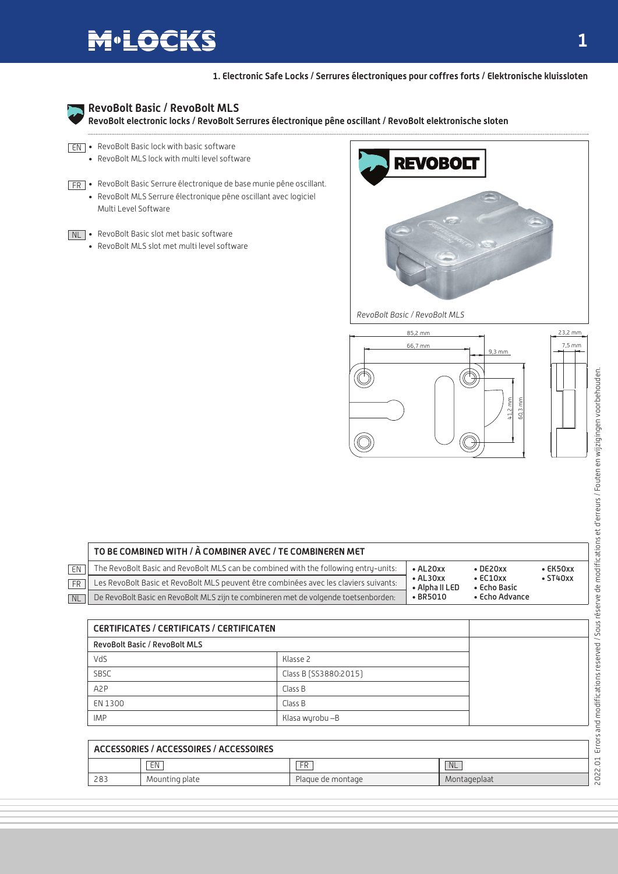## **M**•LOCKS

**1. Electronic Safe Locks / Serrures électroniques pour coffres forts / Elektronische kluissloten**



### **RevoBolt Basic / RevoBolt MLS**

**RevoBolt electronic locks / RevoBolt Serrures électronique pêne oscillant / RevoBolt elektronische sloten**

- $\overline{\text{EN}}$  RevoBolt Basic lock with basic software
	- RevoBolt MLS lock with multi level software
- RevoBolt Basic Serrure électronique de base munie pêne oscillant. FR • RevoBolt MLS Serrure électronique pêne oscillant avec logiciel Multi Level Software
- NL RevoBolt Basic slot met basic software
	- RevoBolt MLS slot met multi level software



*RevoBolt Basic / RevoBolt MLS*



|       | TO BE COMBINED WITH / À COMBINER AVEC / TE COMBINEREN MET                             |                                    |                                |                |  |
|-------|---------------------------------------------------------------------------------------|------------------------------------|--------------------------------|----------------|--|
| EN    | The RevoBolt Basic and RevoBolt MLS can be combined with the following entry-units:   | $\bullet$ AL20xx                   | $\cdot$ DE20xx                 | $\cdot$ EK50xx |  |
| FR    | Les RevoBolt Basic et RevoBolt MLS peuvent être combinées avec les claviers suivants: | $\bullet$ AL30xx<br>• Alpha II LED | $\cdot$ EC10xx<br>• Echo Basic | $\cdot$ ST40xx |  |
| $N_L$ | De RevoBolt Basic en RevoBolt MLS zijn te combineren met de volgende toetsenborden:   | $\cdot$ BR5010                     | • Echo Advance                 |                |  |

| <b>CERTIFICATES / CERTIFICATS / CERTIFICATEN</b> |                       |  |
|--------------------------------------------------|-----------------------|--|
| <b>RevoBolt Basic / RevoBolt MLS</b>             |                       |  |
| VdS                                              | Klasse 2              |  |
| SBSC                                             | Class B (SS3880:2015) |  |
| A <sub>2</sub> P                                 | Class B               |  |
| EN 1300                                          | Class B               |  |
| <b>IMP</b>                                       | Klasa wyrobu –B       |  |

|     | ACCESSORIES / ACCESSOIRES / ACCESSOIRES |                   |              |
|-----|-----------------------------------------|-------------------|--------------|
|     | EN                                      | FR                | <b>NL</b>    |
| 283 | Mounting plate                          | Plaque de montage | Montageplaat |